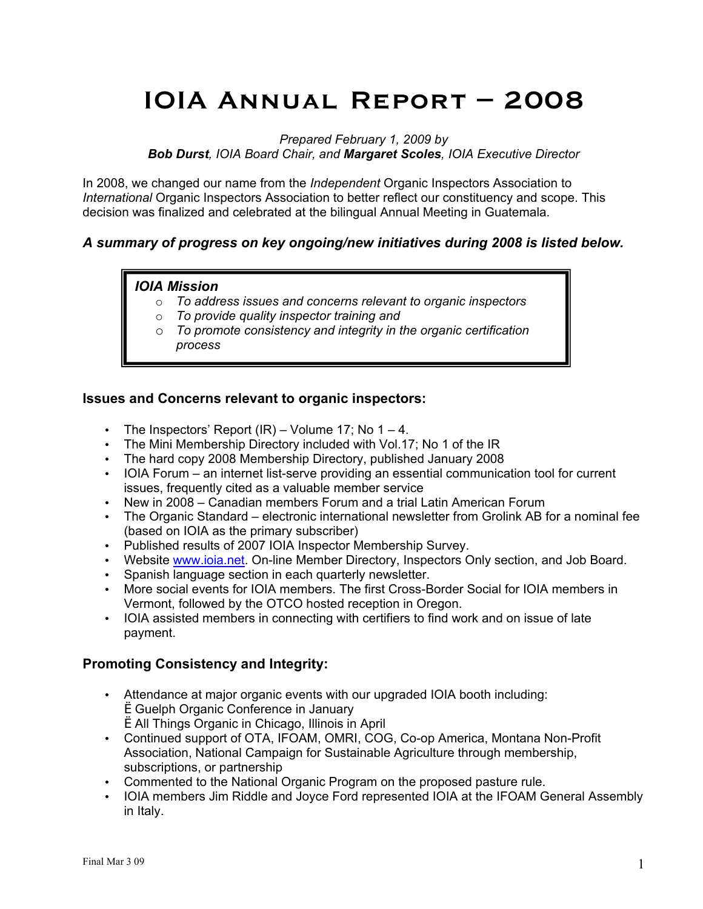# **IOIA Annual Report – 2008**

#### *Prepared February 1, 2009 by Bob Durst, IOIA Board Chair, and Margaret Scoles, IOIA Executive Director*

In 2008, we changed our name from the *Independent* Organic Inspectors Association to *International* Organic Inspectors Association to better reflect our constituency and scope. This decision was finalized and celebrated at the bilingual Annual Meeting in Guatemala.

### *A summary of progress on key ongoing/new initiatives during 2008 is listed below.*

#### *IOIA Mission*

- o *To address issues and concerns relevant to organic inspectors*
- o *To provide quality inspector training and*
- o *To promote consistency and integrity in the organic certification process*

### **Issues and Concerns relevant to organic inspectors:**

- The Inspectors' Report (IR) Volume 17; No  $1 4$ .
- The Mini Membership Directory included with Vol.17; No 1 of the IR
- The hard copy 2008 Membership Directory, published January 2008
- IOIA Forum an internet list-serve providing an essential communication tool for current issues, frequently cited as a valuable member service
- New in 2008 Canadian members Forum and a trial Latin American Forum
- The Organic Standard electronic international newsletter from Grolink AB for a nominal fee (based on IOIA as the primary subscriber)
- Published results of 2007 IOIA Inspector Membership Survey.
- Website www.ioia.net. On-line Member Directory, Inspectors Only section, and Job Board.
- Spanish language section in each quarterly newsletter.
- More social events for IOIA members. The first Cross-Border Social for IOIA members in Vermont, followed by the OTCO hosted reception in Oregon.
- IOIA assisted members in connecting with certifiers to find work and on issue of late payment.

### **Promoting Consistency and Integrity:**

- Attendance at major organic events with our upgraded IOIA booth including: Ë Guelph Organic Conference in January Ë All Things Organic in Chicago, Illinois in April
- Continued support of OTA, IFOAM, OMRI, COG, Co-op America, Montana Non-Profit Association, National Campaign for Sustainable Agriculture through membership, subscriptions, or partnership
- Commented to the National Organic Program on the proposed pasture rule.
- IOIA members Jim Riddle and Joyce Ford represented IOIA at the IFOAM General Assembly in Italy.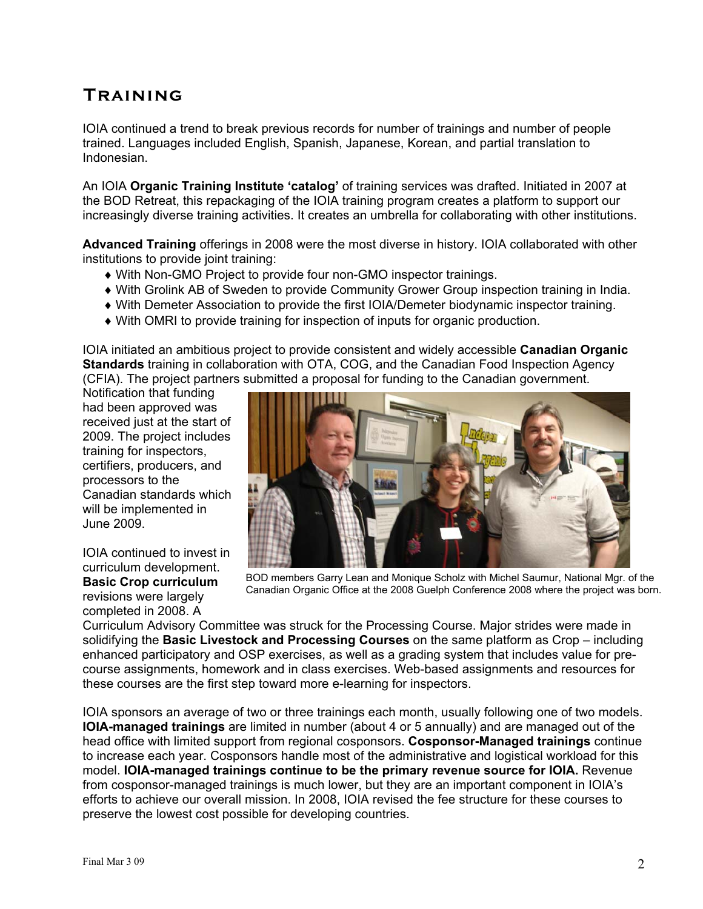### **Training**

IOIA continued a trend to break previous records for number of trainings and number of people trained. Languages included English, Spanish, Japanese, Korean, and partial translation to Indonesian.

An IOIA **Organic Training Institute 'catalog'** of training services was drafted. Initiated in 2007 at the BOD Retreat, this repackaging of the IOIA training program creates a platform to support our increasingly diverse training activities. It creates an umbrella for collaborating with other institutions.

**Advanced Training** offerings in 2008 were the most diverse in history. IOIA collaborated with other institutions to provide joint training:

- ♦ With Non-GMO Project to provide four non-GMO inspector trainings.
- ♦ With Grolink AB of Sweden to provide Community Grower Group inspection training in India.
- ♦ With Demeter Association to provide the first IOIA/Demeter biodynamic inspector training.
- ♦ With OMRI to provide training for inspection of inputs for organic production.

IOIA initiated an ambitious project to provide consistent and widely accessible **Canadian Organic Standards** training in collaboration with OTA, COG, and the Canadian Food Inspection Agency (CFIA). The project partners submitted a proposal for funding to the Canadian government.

Notification that funding had been approved was received just at the start of 2009. The project includes training for inspectors, certifiers, producers, and processors to the Canadian standards which will be implemented in June 2009.

IOIA continued to invest in curriculum development. **Basic Crop curriculum** revisions were largely completed in 2008. A



BOD members Garry Lean and Monique Scholz with Michel Saumur, National Mgr. of the Canadian Organic Office at the 2008 Guelph Conference 2008 where the project was born.

Curriculum Advisory Committee was struck for the Processing Course. Major strides were made in solidifying the **Basic Livestock and Processing Courses** on the same platform as Crop – including enhanced participatory and OSP exercises, as well as a grading system that includes value for precourse assignments, homework and in class exercises. Web-based assignments and resources for these courses are the first step toward more e-learning for inspectors.

IOIA sponsors an average of two or three trainings each month, usually following one of two models. **IOIA-managed trainings** are limited in number (about 4 or 5 annually) and are managed out of the head office with limited support from regional cosponsors. **Cosponsor-Managed trainings** continue to increase each year. Cosponsors handle most of the administrative and logistical workload for this model. **IOIA-managed trainings continue to be the primary revenue source for IOIA.** Revenue from cosponsor-managed trainings is much lower, but they are an important component in IOIA's efforts to achieve our overall mission. In 2008, IOIA revised the fee structure for these courses to preserve the lowest cost possible for developing countries.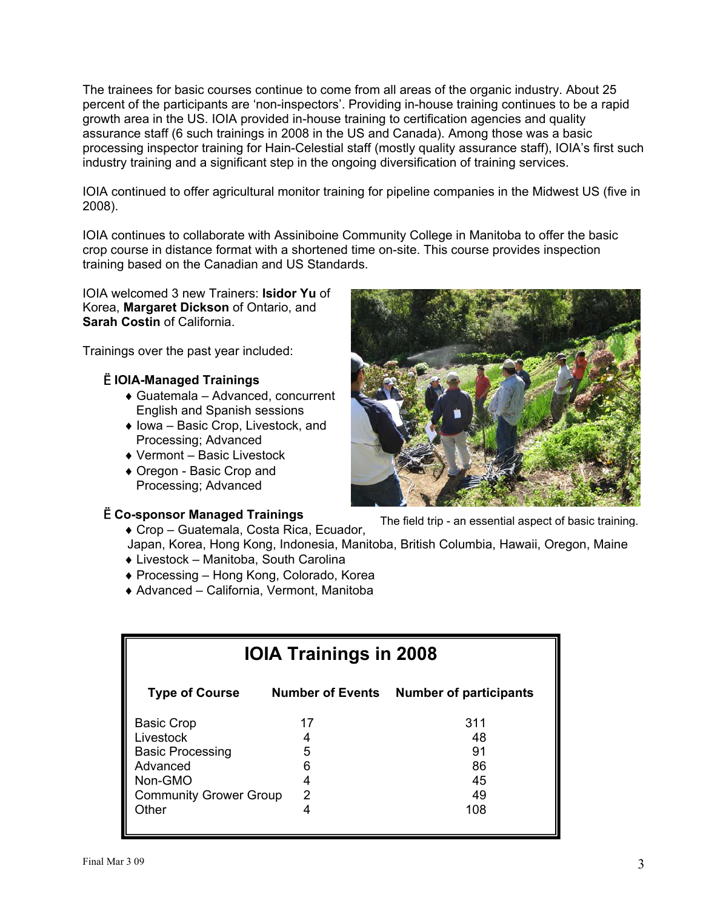The trainees for basic courses continue to come from all areas of the organic industry. About 25 percent of the participants are 'non-inspectors'. Providing in-house training continues to be a rapid growth area in the US. IOIA provided in-house training to certification agencies and quality assurance staff (6 such trainings in 2008 in the US and Canada). Among those was a basic processing inspector training for Hain-Celestial staff (mostly quality assurance staff), IOIA's first such industry training and a significant step in the ongoing diversification of training services.

IOIA continued to offer agricultural monitor training for pipeline companies in the Midwest US (five in 2008).

IOIA continues to collaborate with Assiniboine Community College in Manitoba to offer the basic crop course in distance format with a shortened time on-site. This course provides inspection training based on the Canadian and US Standards.

IOIA welcomed 3 new Trainers: **Isidor Yu** of Korea, **Margaret Dickson** of Ontario, and **Sarah Costin** of California.

Trainings over the past year included:

### Ë **IOIA-Managed Trainings**

- ♦ Guatemala Advanced, concurrent English and Spanish sessions
- ♦ Iowa Basic Crop, Livestock, and Processing; Advanced
- ♦ Vermont Basic Livestock
- ♦ Oregon Basic Crop and Processing; Advanced

### Ë **Co-sponsor Managed Trainings**



The field trip - an essential aspect of basic training.

- ♦ Crop Guatemala, Costa Rica, Ecuador, Japan, Korea, Hong Kong, Indonesia, Manitoba, British Columbia, Hawaii, Oregon, Maine
- ♦ Livestock Manitoba, South Carolina
- ♦ Processing Hong Kong, Colorado, Korea
- ♦ Advanced California, Vermont, Manitoba

| <b>IOIA Trainings in 2008</b>      |                               |
|------------------------------------|-------------------------------|
| <b>Number of Events</b>            | <b>Number of participants</b> |
| 17                                 | 311                           |
|                                    | 48                            |
| 5                                  | 91                            |
|                                    | 86                            |
|                                    | 45                            |
| <b>Community Grower Group</b><br>2 | 49                            |
|                                    | 108                           |
|                                    |                               |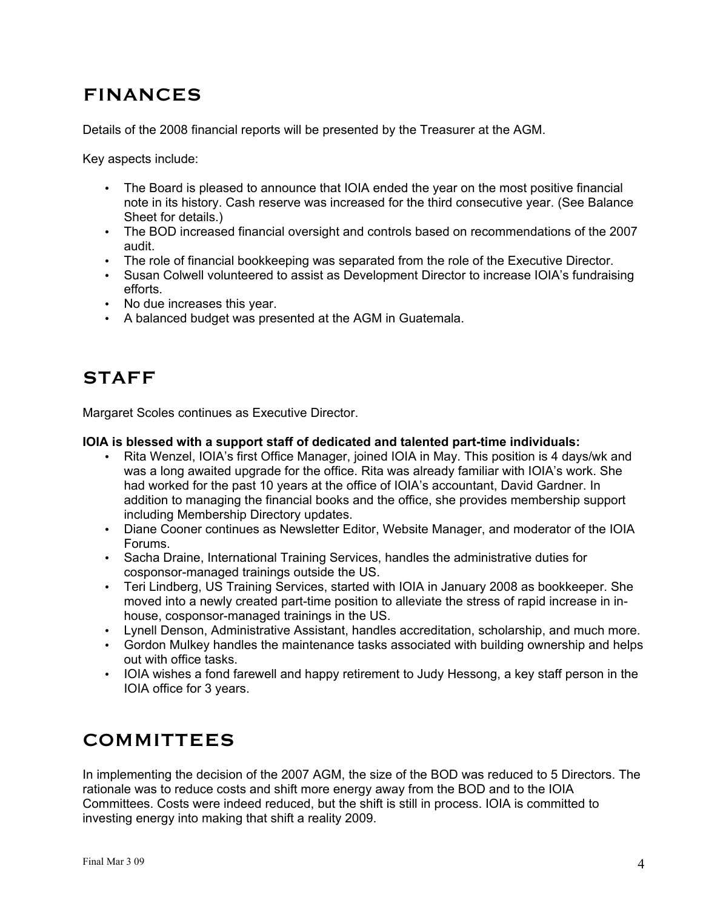### **FINANCES**

Details of the 2008 financial reports will be presented by the Treasurer at the AGM.

Key aspects include:

- The Board is pleased to announce that IOIA ended the year on the most positive financial note in its history. Cash reserve was increased for the third consecutive year. (See Balance Sheet for details.)
- The BOD increased financial oversight and controls based on recommendations of the 2007 audit.
- The role of financial bookkeeping was separated from the role of the Executive Director.
- Susan Colwell volunteered to assist as Development Director to increase IOIA's fundraising efforts.
- No due increases this year.
- A balanced budget was presented at the AGM in Guatemala.

## **STAFF**

Margaret Scoles continues as Executive Director.

#### **IOIA is blessed with a support staff of dedicated and talented part-time individuals:**

- Rita Wenzel, IOIA's first Office Manager, joined IOIA in May. This position is 4 days/wk and was a long awaited upgrade for the office. Rita was already familiar with IOIA's work. She had worked for the past 10 years at the office of IOIA's accountant, David Gardner. In addition to managing the financial books and the office, she provides membership support including Membership Directory updates.
- Diane Cooner continues as Newsletter Editor, Website Manager, and moderator of the IOIA Forums.
- Sacha Draine, International Training Services, handles the administrative duties for cosponsor-managed trainings outside the US.
- Teri Lindberg, US Training Services, started with IOIA in January 2008 as bookkeeper. She moved into a newly created part-time position to alleviate the stress of rapid increase in inhouse, cosponsor-managed trainings in the US.
- Lynell Denson, Administrative Assistant, handles accreditation, scholarship, and much more.
- Gordon Mulkey handles the maintenance tasks associated with building ownership and helps out with office tasks.
- IOIA wishes a fond farewell and happy retirement to Judy Hessong, a key staff person in the IOIA office for 3 years.

### **COMMITTEES**

In implementing the decision of the 2007 AGM, the size of the BOD was reduced to 5 Directors. The rationale was to reduce costs and shift more energy away from the BOD and to the IOIA Committees. Costs were indeed reduced, but the shift is still in process. IOIA is committed to investing energy into making that shift a reality 2009.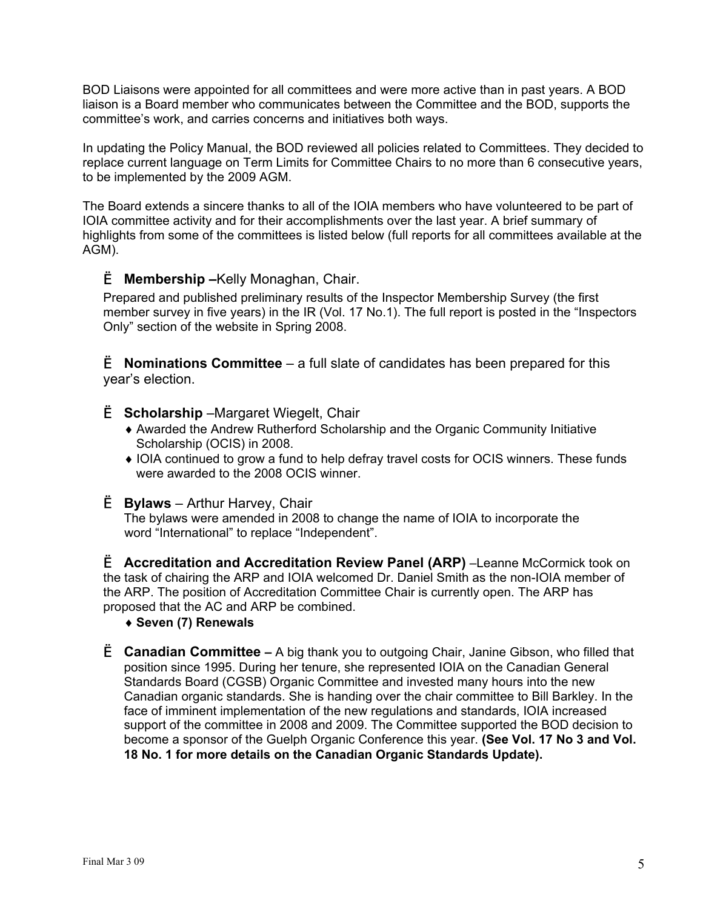BOD Liaisons were appointed for all committees and were more active than in past years. A BOD liaison is a Board member who communicates between the Committee and the BOD, supports the committee's work, and carries concerns and initiatives both ways.

In updating the Policy Manual, the BOD reviewed all policies related to Committees. They decided to replace current language on Term Limits for Committee Chairs to no more than 6 consecutive years, to be implemented by the 2009 AGM.

The Board extends a sincere thanks to all of the IOIA members who have volunteered to be part of IOIA committee activity and for their accomplishments over the last year. A brief summary of highlights from some of the committees is listed below (full reports for all committees available at the AGM).

### Ë **Membership –**Kelly Monaghan, Chair.

Prepared and published preliminary results of the Inspector Membership Survey (the first member survey in five years) in the IR (Vol. 17 No.1). The full report is posted in the "Inspectors Only" section of the website in Spring 2008.

Ë **Nominations Committee** – a full slate of candidates has been prepared for this year's election.

- Ë **Scholarship** –Margaret Wiegelt, Chair
	- ♦ Awarded the Andrew Rutherford Scholarship and the Organic Community Initiative Scholarship (OCIS) in 2008.
	- ♦ IOIA continued to grow a fund to help defray travel costs for OCIS winners. These funds were awarded to the 2008 OCIS winner.
- Ë **Bylaws**  Arthur Harvey, Chair

 The bylaws were amended in 2008 to change the name of IOIA to incorporate the word "International" to replace "Independent".

Ë **Accreditation and Accreditation Review Panel (ARP)** –Leanne McCormick took on the task of chairing the ARP and IOIA welcomed Dr. Daniel Smith as the non-IOIA member of the ARP. The position of Accreditation Committee Chair is currently open. The ARP has proposed that the AC and ARP be combined.

- ♦ **Seven (7) Renewals**
- Ë **Canadian Committee** A big thank you to outgoing Chair, Janine Gibson, who filled that position since 1995. During her tenure, she represented IOIA on the Canadian General Standards Board (CGSB) Organic Committee and invested many hours into the new Canadian organic standards. She is handing over the chair committee to Bill Barkley. In the face of imminent implementation of the new regulations and standards, IOIA increased support of the committee in 2008 and 2009. The Committee supported the BOD decision to become a sponsor of the Guelph Organic Conference this year. **(See Vol. 17 No 3 and Vol. 18 No. 1 for more details on the Canadian Organic Standards Update).**